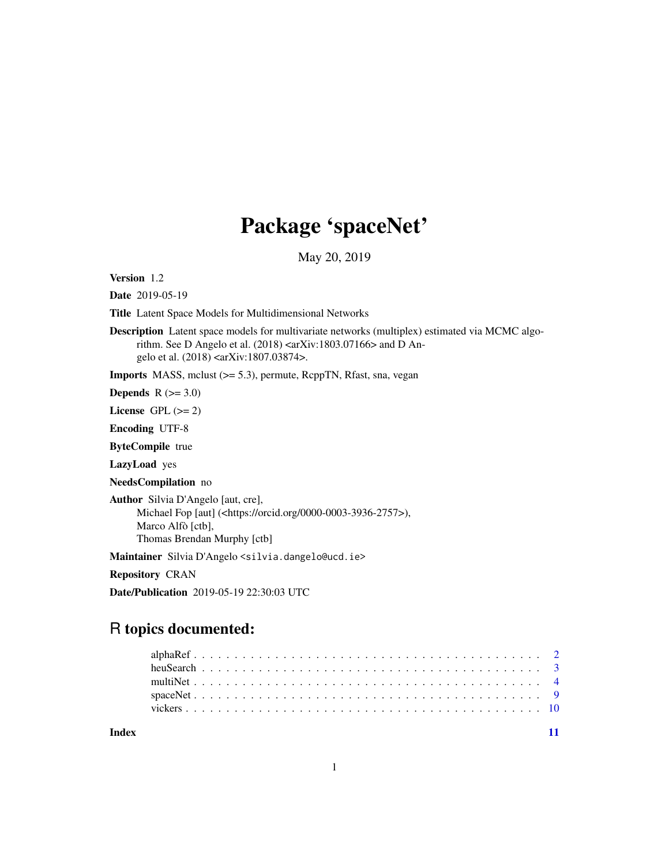## Package 'spaceNet'

May 20, 2019

Version 1.2

Date 2019-05-19

Title Latent Space Models for Multidimensional Networks

Description Latent space models for multivariate networks (multiplex) estimated via MCMC algorithm. See D Angelo et al. (2018) <arXiv:1803.07166> and D Angelo et al. (2018) <arXiv:1807.03874>.

Imports MASS, mclust (>= 5.3), permute, RcppTN, Rfast, sna, vegan

Depends  $R$  ( $>= 3.0$ )

License GPL  $(>= 2)$ 

Encoding UTF-8

ByteCompile true

LazyLoad yes

NeedsCompilation no

Author Silvia D'Angelo [aut, cre], Michael Fop [aut] (<https://orcid.org/0000-0003-3936-2757>), Marco Alfò [ctb], Thomas Brendan Murphy [ctb]

Maintainer Silvia D'Angelo <silvia.dangelo@ucd.ie>

Repository CRAN

Date/Publication 2019-05-19 22:30:03 UTC

## R topics documented:

**Index** [11](#page-10-0)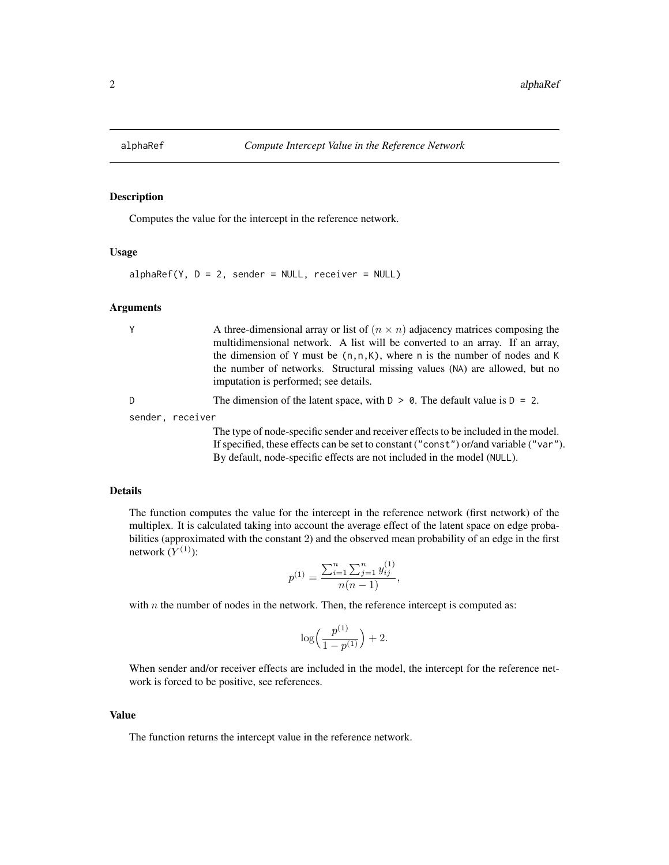<span id="page-1-1"></span><span id="page-1-0"></span>

## Description

Computes the value for the intercept in the reference network.

#### Usage

 $alphaRef(Y, D = 2, sender = NULL, receiver = NULL)$ 

#### Arguments

| Υ                | A three-dimensional array or list of $(n \times n)$ adjacency matrices composing the                                |
|------------------|---------------------------------------------------------------------------------------------------------------------|
|                  | multidimensional network. A list will be converted to an array. If an array,                                        |
|                  | the dimension of Y must be $(n, n, K)$ , where n is the number of nodes and K                                       |
|                  | the number of networks. Structural missing values (NA) are allowed, but no<br>imputation is performed; see details. |
| D                | The dimension of the latent space, with $D > 0$ . The default value is $D = 2$ .                                    |
| sender, receiver |                                                                                                                     |
|                  | The type of node-specific sender and receiver effects to be included in the model.                                  |
|                  | If specified, these effects can be set to constant ("const") or/and variable ("var").                               |
|                  | By default, node-specific effects are not included in the model (NULL).                                             |

#### Details

The function computes the value for the intercept in the reference network (first network) of the multiplex. It is calculated taking into account the average effect of the latent space on edge probabilities (approximated with the constant 2) and the observed mean probability of an edge in the first network  $(Y^{(1)})$ :

$$
p^{(1)} = \frac{\sum_{i=1}^{n} \sum_{j=1}^{n} y_{ij}^{(1)}}{n(n-1)},
$$

with  $n$  the number of nodes in the network. Then, the reference intercept is computed as:

$$
\log\Bigl(\frac{p^{(1)}}{1-p^{(1)}}\Bigr)+2.
$$

When sender and/or receiver effects are included in the model, the intercept for the reference network is forced to be positive, see references.

#### Value

The function returns the intercept value in the reference network.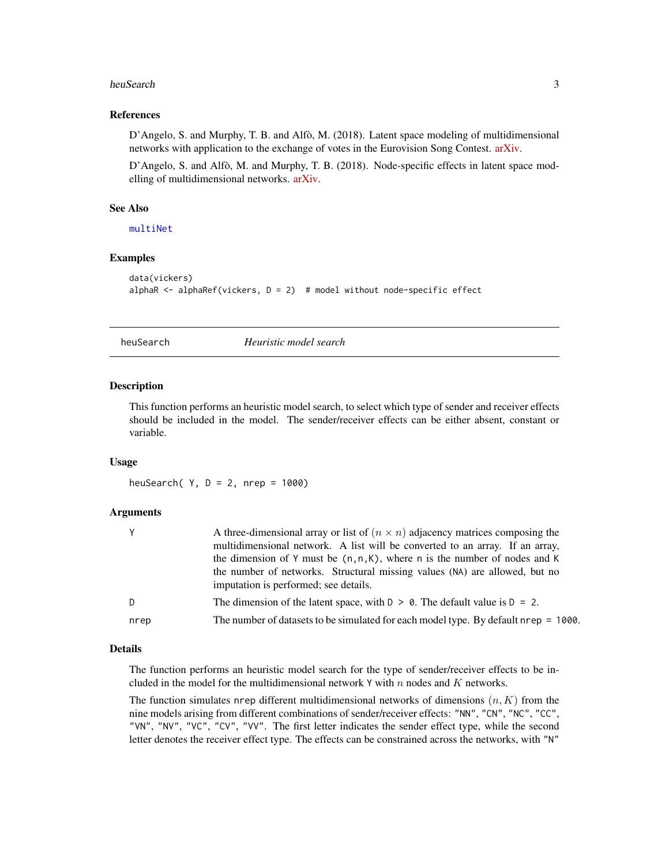#### <span id="page-2-0"></span>heuSearch 3

#### References

D'Angelo, S. and Murphy, T. B. and Alfò, M. (2018). Latent space modeling of multidimensional networks with application to the exchange of votes in the Eurovision Song Contest. [arXiv.](https://arxiv.org/abs/1803.07166)

D'Angelo, S. and Alfò, M. and Murphy, T. B. (2018). Node-specific effects in latent space modelling of multidimensional networks. [arXiv.](https://arxiv.org/abs/1807.03874)

#### See Also

[multiNet](#page-3-1)

#### Examples

```
data(vickers)
alphaR <- alphaRef(vickers, D = 2) # model without node-specific effect
```
heuSearch *Heuristic model search*

#### **Description**

This function performs an heuristic model search, to select which type of sender and receiver effects should be included in the model. The sender/receiver effects can be either absent, constant or variable.

#### Usage

heuSearch( $Y$ ,  $D = 2$ , nrep = 1000)

#### Arguments

|      | A three-dimensional array or list of $(n \times n)$ adjacency matrices composing the<br>multidimensional network. A list will be converted to an array. If an array,<br>the dimension of Y must be $(n, n, K)$ , where n is the number of nodes and K<br>the number of networks. Structural missing values (NA) are allowed, but no<br>imputation is performed; see details. |
|------|------------------------------------------------------------------------------------------------------------------------------------------------------------------------------------------------------------------------------------------------------------------------------------------------------------------------------------------------------------------------------|
| D    | The dimension of the latent space, with $D > 0$ . The default value is $D = 2$ .                                                                                                                                                                                                                                                                                             |
| nrep | The number of datasets to be simulated for each model type. By default nrep = 1000.                                                                                                                                                                                                                                                                                          |

#### Details

The function performs an heuristic model search for the type of sender/receiver effects to be included in the model for the multidimensional network Y with n nodes and  $K$  networks.

The function simulates nrep different multidimensional networks of dimensions  $(n, K)$  from the nine models arising from different combinations of sender/receiver effects: "NN", "CN", "NC", "CC", "VN", "NV", "VC", "CV", "VV". The first letter indicates the sender effect type, while the second letter denotes the receiver effect type. The effects can be constrained across the networks, with "N"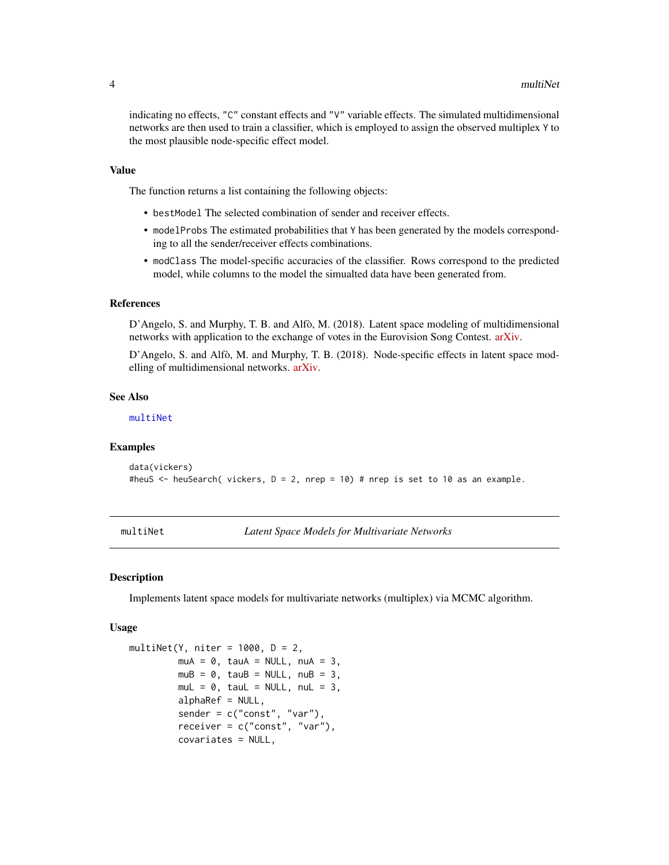<span id="page-3-0"></span>indicating no effects, "C" constant effects and "V" variable effects. The simulated multidimensional networks are then used to train a classifier, which is employed to assign the observed multiplex Y to the most plausible node-specific effect model.

#### Value

The function returns a list containing the following objects:

- bestModel The selected combination of sender and receiver effects.
- modelProbs The estimated probabilities that Y has been generated by the models corresponding to all the sender/receiver effects combinations.
- modClass The model-specific accuracies of the classifier. Rows correspond to the predicted model, while columns to the model the simualted data have been generated from.

#### References

D'Angelo, S. and Murphy, T. B. and Alfò, M. (2018). Latent space modeling of multidimensional networks with application to the exchange of votes in the Eurovision Song Contest. [arXiv.](https://arxiv.org/abs/1803.07166)

D'Angelo, S. and Alfò, M. and Murphy, T. B. (2018). Node-specific effects in latent space modelling of multidimensional networks. [arXiv.](https://arxiv.org/abs/1807.03874)

#### See Also

[multiNet](#page-3-1)

#### Examples

```
data(vickers)
#heuS <- heuSearch( vickers, D = 2, nrep = 10) # nrep is set to 10 as an example.
```
<span id="page-3-1"></span>multiNet *Latent Space Models for Multivariate Networks*

#### **Description**

Implements latent space models for multivariate networks (multiplex) via MCMC algorithm.

#### Usage

```
multiNet(Y, niter = 1000, D = 2,
        muA = 0, tauA = NULL, nuA = 3,
         mUB = 0, tauB = NULL, nUB = 3,
        mul = 0, taul = NULL, nul = 3,
         alphaRef = NULL,sender = c("const", "var"),receiver = c("const", "var"),
         covariates = NULL,
```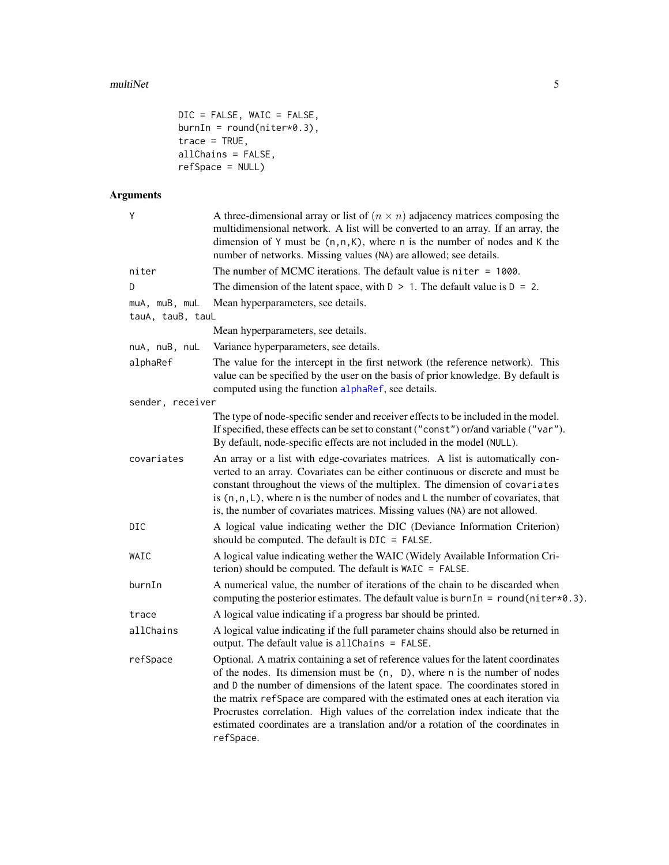```
DIC = FALSE, WAIC = FALSE,
burnIn = round(niter*0.3),
trace = TRUE,
allChains = FALSE,
refSpace = NULL)
```
## Arguments

| Υ                                 | A three-dimensional array or list of $(n \times n)$ adjacency matrices composing the<br>multidimensional network. A list will be converted to an array. If an array, the<br>dimension of Y must be $(n, n, K)$ , where n is the number of nodes and K the<br>number of networks. Missing values (NA) are allowed; see details.                                                                                                                                                                                        |
|-----------------------------------|-----------------------------------------------------------------------------------------------------------------------------------------------------------------------------------------------------------------------------------------------------------------------------------------------------------------------------------------------------------------------------------------------------------------------------------------------------------------------------------------------------------------------|
| niter                             | The number of MCMC iterations. The default value is $niter = 1000$ .                                                                                                                                                                                                                                                                                                                                                                                                                                                  |
| D                                 | The dimension of the latent space, with $D > 1$ . The default value is $D = 2$ .                                                                                                                                                                                                                                                                                                                                                                                                                                      |
| muA, muB, muL<br>tauA, tauB, tauL | Mean hyperparameters, see details.                                                                                                                                                                                                                                                                                                                                                                                                                                                                                    |
|                                   | Mean hyperparameters, see details.                                                                                                                                                                                                                                                                                                                                                                                                                                                                                    |
| nuA, nuB, nuL                     | Variance hyperparameters, see details.                                                                                                                                                                                                                                                                                                                                                                                                                                                                                |
| alphaRef                          | The value for the intercept in the first network (the reference network). This<br>value can be specified by the user on the basis of prior knowledge. By default is<br>computed using the function alphaRef, see details.                                                                                                                                                                                                                                                                                             |
| sender, receiver                  |                                                                                                                                                                                                                                                                                                                                                                                                                                                                                                                       |
|                                   | The type of node-specific sender and receiver effects to be included in the model.<br>If specified, these effects can be set to constant ("const") or/and variable ("var").<br>By default, node-specific effects are not included in the model (NULL).                                                                                                                                                                                                                                                                |
| covariates                        | An array or a list with edge-covariates matrices. A list is automatically con-<br>verted to an array. Covariates can be either continuous or discrete and must be<br>constant throughout the views of the multiplex. The dimension of covariates<br>is $(n, n, L)$ , where n is the number of nodes and L the number of covariates, that<br>is, the number of covariates matrices. Missing values (NA) are not allowed.                                                                                               |
| DIC                               | A logical value indicating wether the DIC (Deviance Information Criterion)<br>should be computed. The default is DIC = FALSE.                                                                                                                                                                                                                                                                                                                                                                                         |
| WAIC                              | A logical value indicating wether the WAIC (Widely Available Information Cri-<br>terion) should be computed. The default is WAIC = FALSE.                                                                                                                                                                                                                                                                                                                                                                             |
| burnIn                            | A numerical value, the number of iterations of the chain to be discarded when<br>computing the posterior estimates. The default value is burnIn = round(niter $*0.3$ ).                                                                                                                                                                                                                                                                                                                                               |
| trace                             | A logical value indicating if a progress bar should be printed.                                                                                                                                                                                                                                                                                                                                                                                                                                                       |
| allChains                         | A logical value indicating if the full parameter chains should also be returned in<br>output. The default value is all Chains = FALSE.                                                                                                                                                                                                                                                                                                                                                                                |
| refSpace                          | Optional. A matrix containing a set of reference values for the latent coordinates<br>of the nodes. Its dimension must be (n, D), where n is the number of nodes<br>and D the number of dimensions of the latent space. The coordinates stored in<br>the matrix refSpace are compared with the estimated ones at each iteration via<br>Procrustes correlation. High values of the correlation index indicate that the<br>estimated coordinates are a translation and/or a rotation of the coordinates in<br>refSpace. |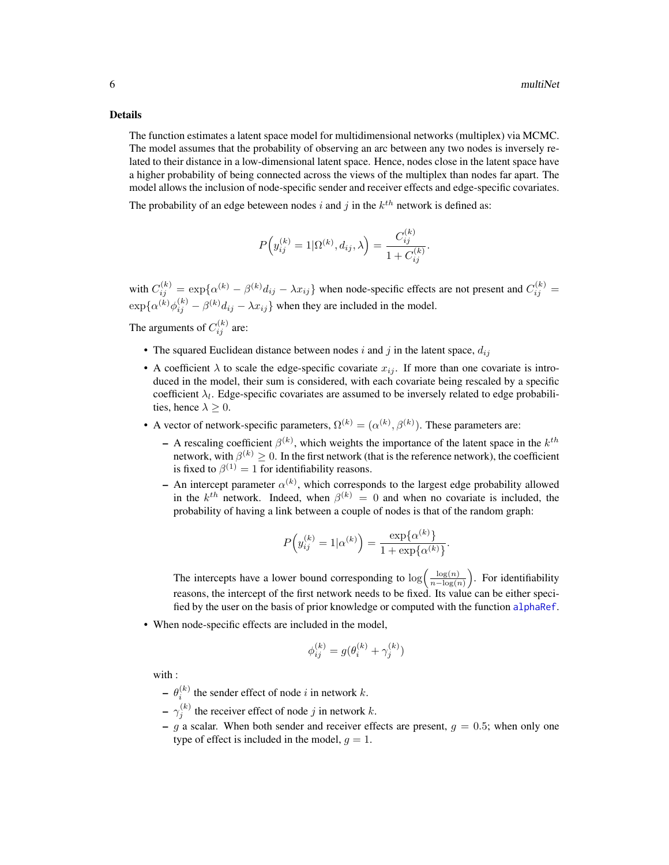#### <span id="page-5-0"></span>Details

The function estimates a latent space model for multidimensional networks (multiplex) via MCMC. The model assumes that the probability of observing an arc between any two nodes is inversely related to their distance in a low-dimensional latent space. Hence, nodes close in the latent space have a higher probability of being connected across the views of the multiplex than nodes far apart. The model allows the inclusion of node-specific sender and receiver effects and edge-specific covariates.

The probability of an edge beteween nodes i and j in the  $k^{th}$  network is defined as:

$$
P\left(y_{ij}^{(k)} = 1 | \Omega^{(k)}, d_{ij}, \lambda\right) = \frac{C_{ij}^{(k)}}{1 + C_{ij}^{(k)}}
$$

.

with  $C_{ij}^{(k)} = \exp\{\alpha^{(k)} - \beta^{(k)}d_{ij} - \lambda x_{ij}\}\$  when node-specific effects are not present and  $C_{ij}^{(k)} =$  $\exp{\{\alpha^{(k)}\phi_{ij}^{(k)} - \beta^{(k)}d_{ij} - \lambda x_{ij}\}}$  when they are included in the model.

The arguments of  $C_{ij}^{(k)}$  are:

- The squared Euclidean distance between nodes i and j in the latent space,  $d_{ij}$
- A coefficient  $\lambda$  to scale the edge-specific covariate  $x_{ij}$ . If more than one covariate is introduced in the model, their sum is considered, with each covariate being rescaled by a specific coefficient  $\lambda_l$ . Edge-specific covariates are assumed to be inversely related to edge probabilities, hence  $\lambda \geq 0$ .
- A vector of network-specific parameters,  $\Omega^{(k)} = (\alpha^{(k)}, \beta^{(k)})$ . These parameters are:
	- $-$  A rescaling coefficient  $\beta^{(k)}$ , which weights the importance of the latent space in the  $k^{th}$ network, with  $\beta^{(k)} \geq 0$ . In the first network (that is the reference network), the coefficient is fixed to  $\beta^{(1)} = 1$  for identifiability reasons.
	- An intercept parameter  $\alpha^{(k)}$ , which corresponds to the largest edge probability allowed in the  $k^{th}$  network. Indeed, when  $\beta^{(k)} = 0$  and when no covariate is included, the probability of having a link between a couple of nodes is that of the random graph:

$$
P\left(y_{ij}^{(k)} = 1 | \alpha^{(k)}\right) = \frac{\exp\{\alpha^{(k)}\}}{1 + \exp\{\alpha^{(k)}\}}.
$$

The intercepts have a lower bound corresponding to  $\log \left( \frac{\log(n)}{n - \log(n)} \right)$  $\frac{\log(n)}{n-\log(n)}$ ). For identifiability reasons, the intercept of the first network needs to be fixed. Its value can be either specified by the user on the basis of prior knowledge or computed with the function [alphaRef](#page-1-1).

• When node-specific effects are included in the model,

$$
\phi_{ij}^{(k)} = g(\theta_i^{(k)} + \gamma_j^{(k)})
$$

with :

- $\theta_i^{(k)}$  the sender effect of node i in network k.
- $-\gamma_j^{(k)}$  the receiver effect of node j in network k.
- g a scalar. When both sender and receiver effects are present,  $g = 0.5$ ; when only one type of effect is included in the model,  $g = 1$ .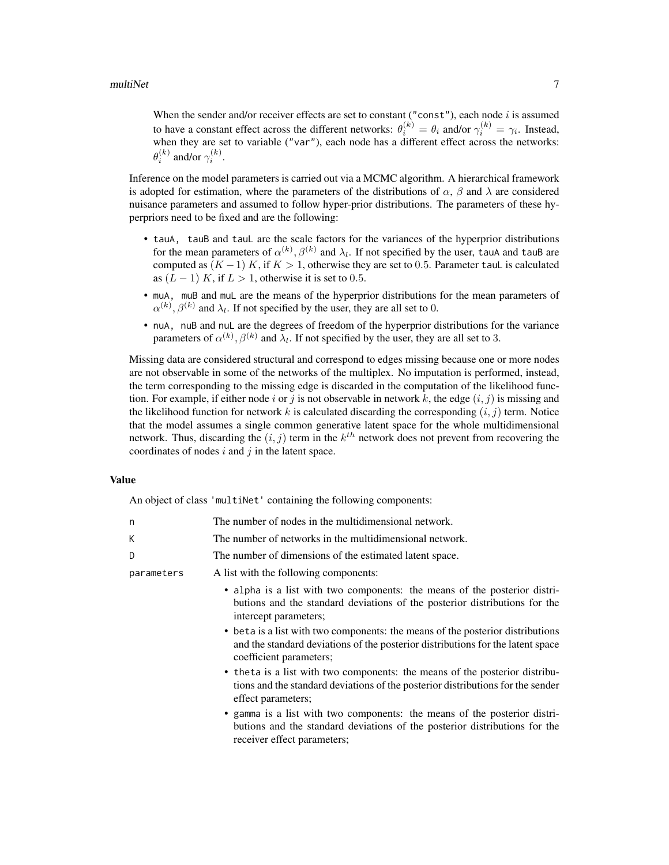When the sender and/or receiver effects are set to constant ("const"), each node  $i$  is assumed to have a constant effect across the different networks:  $\theta_i^{(k)} = \theta_i$  and/or  $\gamma_i^{(k)} = \gamma_i$ . Instead, when they are set to variable ("var"), each node has a different effect across the networks:  $\theta_i^{(k)}$  and/or  $\gamma_i^{(k)}$ .

Inference on the model parameters is carried out via a MCMC algorithm. A hierarchical framework is adopted for estimation, where the parameters of the distributions of  $\alpha$ ,  $\beta$  and  $\lambda$  are considered nuisance parameters and assumed to follow hyper-prior distributions. The parameters of these hyperpriors need to be fixed and are the following:

- tauA, tauB and tauL are the scale factors for the variances of the hyperprior distributions for the mean parameters of  $\alpha^{(k)}$ ,  $\beta^{(k)}$  and  $\lambda_l$ . If not specified by the user, tauA and tauB are computed as  $(K-1)$  K, if  $K > 1$ , otherwise they are set to 0.5. Parameter tauL is calculated as  $(L-1)$  K, if  $L > 1$ , otherwise it is set to 0.5.
- muA, muB and muL are the means of the hyperprior distributions for the mean parameters of  $\alpha^{(k)}$ ,  $\beta^{(k)}$  and  $\lambda_l$ . If not specified by the user, they are all set to 0.
- nuA, nuB and nuL are the degrees of freedom of the hyperprior distributions for the variance parameters of  $\alpha^{(k)}$ ,  $\beta^{(k)}$  and  $\lambda_l$ . If not specified by the user, they are all set to 3.

Missing data are considered structural and correspond to edges missing because one or more nodes are not observable in some of the networks of the multiplex. No imputation is performed, instead, the term corresponding to the missing edge is discarded in the computation of the likelihood function. For example, if either node i or j is not observable in network k, the edge  $(i, j)$  is missing and the likelihood function for network k is calculated discarding the corresponding  $(i, j)$  term. Notice that the model assumes a single common generative latent space for the whole multidimensional network. Thus, discarding the  $(i, j)$  term in the  $k^{th}$  network does not prevent from recovering the coordinates of nodes  $i$  and  $j$  in the latent space.

#### Value

An object of class 'multiNet' containing the following components:

| n          | The number of nodes in the multidimensional network.                                                                                                                                                                                                                                                                                                                             |
|------------|----------------------------------------------------------------------------------------------------------------------------------------------------------------------------------------------------------------------------------------------------------------------------------------------------------------------------------------------------------------------------------|
| K          | The number of networks in the multidimensional network.                                                                                                                                                                                                                                                                                                                          |
| D          | The number of dimensions of the estimated latent space.                                                                                                                                                                                                                                                                                                                          |
| parameters | A list with the following components:                                                                                                                                                                                                                                                                                                                                            |
|            | • alpha is a list with two components: the means of the posterior distri-<br>butions and the standard deviations of the posterior distributions for the<br>intercept parameters;<br>• beta is a list with two components: the means of the posterior distributions<br>and the standard deviations of the posterior distributions for the latent space<br>coefficient parameters; |
|            | • theta is a list with two components: the means of the posterior distribu-<br>tions and the standard deviations of the posterior distributions for the sender<br>effect parameters;                                                                                                                                                                                             |
|            | • gamma is a list with two components: the means of the posterior distri-<br>butions and the standard deviations of the posterior distributions for the<br>receiver effect parameters;                                                                                                                                                                                           |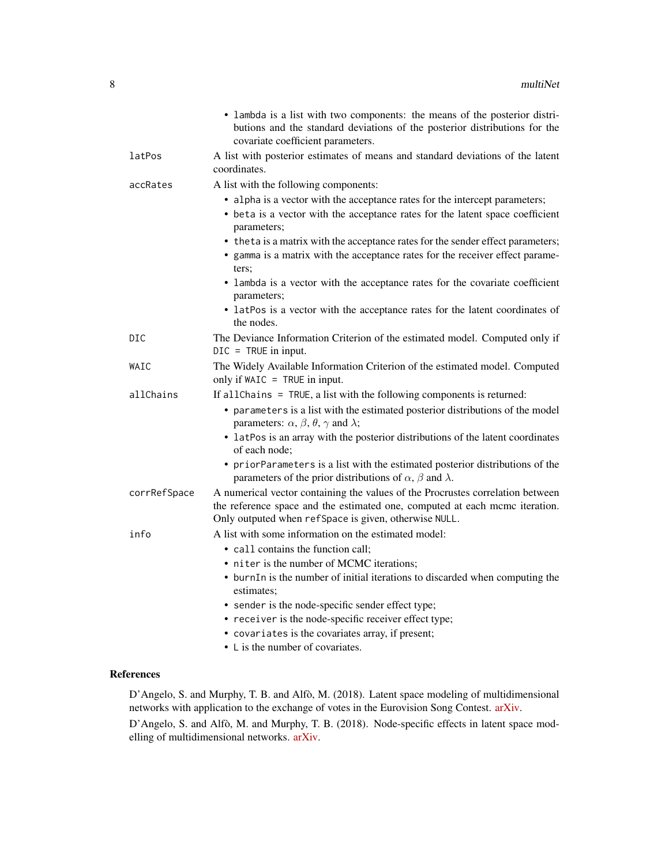|              | • lambda is a list with two components: the means of the posterior distri-<br>butions and the standard deviations of the posterior distributions for the<br>covariate coefficient parameters.                          |
|--------------|------------------------------------------------------------------------------------------------------------------------------------------------------------------------------------------------------------------------|
| latPos       | A list with posterior estimates of means and standard deviations of the latent<br>coordinates.                                                                                                                         |
| accRates     | A list with the following components:                                                                                                                                                                                  |
|              | • alpha is a vector with the acceptance rates for the intercept parameters;                                                                                                                                            |
|              | • beta is a vector with the acceptance rates for the latent space coefficient<br>parameters;                                                                                                                           |
|              | • the ta is a matrix with the acceptance rates for the sender effect parameters;                                                                                                                                       |
|              | • gamma is a matrix with the acceptance rates for the receiver effect parame-<br>ters;                                                                                                                                 |
|              | • lambda is a vector with the acceptance rates for the covariate coefficient<br>parameters;                                                                                                                            |
|              | • latPos is a vector with the acceptance rates for the latent coordinates of<br>the nodes.                                                                                                                             |
| DIC          | The Deviance Information Criterion of the estimated model. Computed only if<br>$DIC = TRUE$ in input.                                                                                                                  |
| WAIC         | The Widely Available Information Criterion of the estimated model. Computed<br>only if $W AIC = TRUE$ in input.                                                                                                        |
| allChains    | If all Chains = TRUE, a list with the following components is returned:                                                                                                                                                |
|              | • parameters is a list with the estimated posterior distributions of the model<br>parameters: $\alpha$ , $\beta$ , $\theta$ , $\gamma$ and $\lambda$ ;                                                                 |
|              | • latPos is an array with the posterior distributions of the latent coordinates<br>of each node;                                                                                                                       |
|              | • priorParameters is a list with the estimated posterior distributions of the<br>parameters of the prior distributions of $\alpha$ , $\beta$ and $\lambda$ .                                                           |
| corrRefSpace | A numerical vector containing the values of the Procrustes correlation between<br>the reference space and the estimated one, computed at each mcmc iteration.<br>Only outputed when refSpace is given, otherwise NULL. |
| info         | A list with some information on the estimated model:                                                                                                                                                                   |
|              | • call contains the function call:                                                                                                                                                                                     |
|              | • niter is the number of MCMC iterations;                                                                                                                                                                              |
|              | • burnIn is the number of initial iterations to discarded when computing the<br>estimates;                                                                                                                             |
|              | • sender is the node-specific sender effect type;                                                                                                                                                                      |
|              | • receiver is the node-specific receiver effect type;                                                                                                                                                                  |
|              | • covariates is the covariates array, if present;                                                                                                                                                                      |
|              | • L is the number of covariates.                                                                                                                                                                                       |

### References

D'Angelo, S. and Murphy, T. B. and Alfò, M. (2018). Latent space modeling of multidimensional networks with application to the exchange of votes in the Eurovision Song Contest. [arXiv.](https://arxiv.org/abs/1803.07166)

D'Angelo, S. and Alfò, M. and Murphy, T. B. (2018). Node-specific effects in latent space modelling of multidimensional networks. [arXiv.](https://arxiv.org/abs/1807.03874)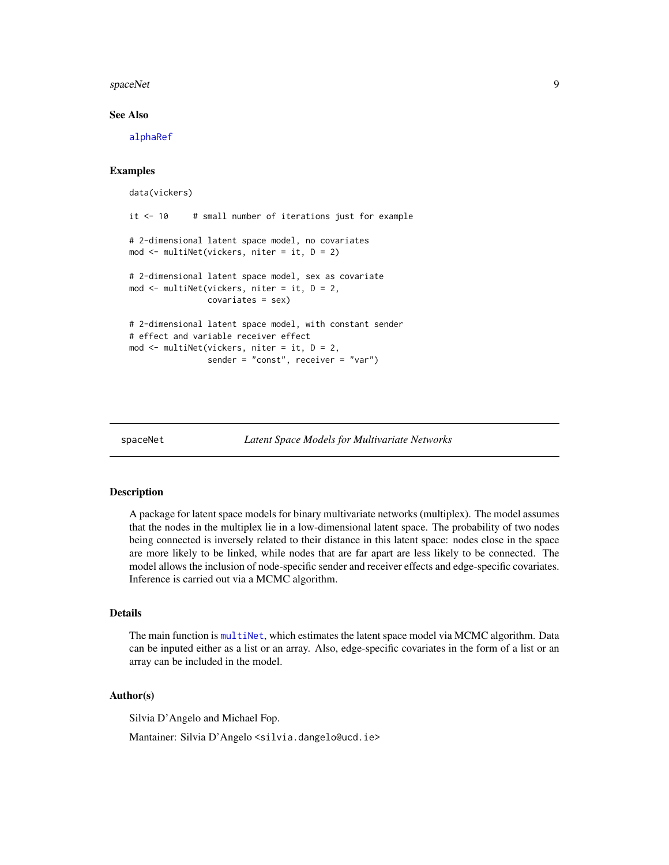#### <span id="page-8-0"></span>spaceNet 99

#### See Also

[alphaRef](#page-1-1)

#### Examples

```
data(vickers)
it <-10 # small number of iterations just for example
# 2-dimensional latent space model, no covariates
mod <- multiNet(vickers, niter = it, D = 2)
# 2-dimensional latent space model, sex as covariate
mod \leq multiNet(vickers, niter = it, D = 2,
                covariates = sex)
# 2-dimensional latent space model, with constant sender
# effect and variable receiver effect
mod <- multiNet(vickers, niter = it, D = 2,
                sender = "const", receiver = "var")
```
spaceNet *Latent Space Models for Multivariate Networks*

#### Description

A package for latent space models for binary multivariate networks (multiplex). The model assumes that the nodes in the multiplex lie in a low-dimensional latent space. The probability of two nodes being connected is inversely related to their distance in this latent space: nodes close in the space are more likely to be linked, while nodes that are far apart are less likely to be connected. The model allows the inclusion of node-specific sender and receiver effects and edge-specific covariates. Inference is carried out via a MCMC algorithm.

#### Details

The main function is [multiNet](#page-3-1), which estimates the latent space model via MCMC algorithm. Data can be inputed either as a list or an array. Also, edge-specific covariates in the form of a list or an array can be included in the model.

#### Author(s)

Silvia D'Angelo and Michael Fop.

Mantainer: Silvia D'Angelo <silvia.dangelo@ucd.ie>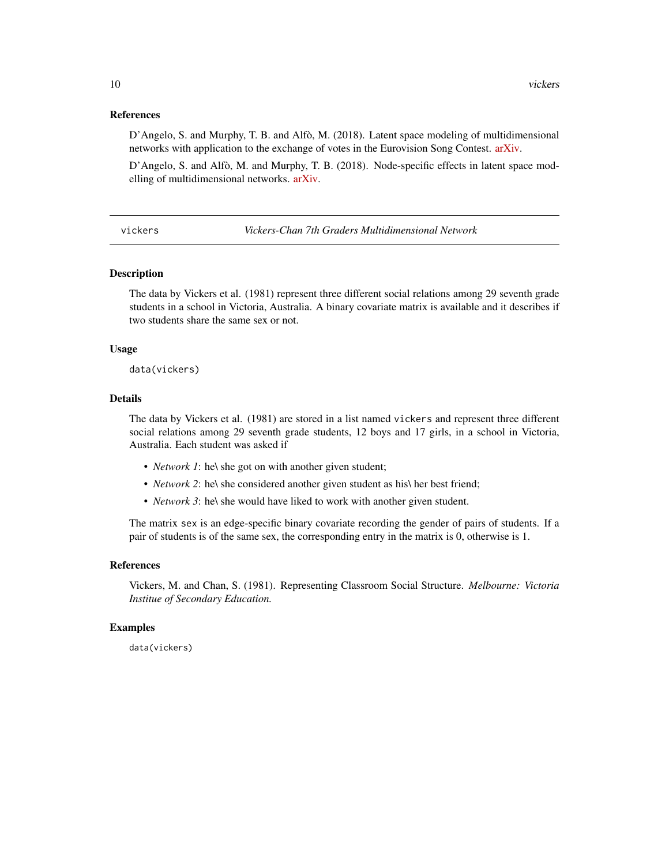#### <span id="page-9-0"></span>References

D'Angelo, S. and Murphy, T. B. and Alfò, M. (2018). Latent space modeling of multidimensional networks with application to the exchange of votes in the Eurovision Song Contest. [arXiv.](https://arxiv.org/abs/1803.07166)

D'Angelo, S. and Alfò, M. and Murphy, T. B. (2018). Node-specific effects in latent space modelling of multidimensional networks. [arXiv.](https://arxiv.org/abs/1807.03874)

vickers *Vickers-Chan 7th Graders Multidimensional Network*

#### **Description**

The data by Vickers et al. (1981) represent three different social relations among 29 seventh grade students in a school in Victoria, Australia. A binary covariate matrix is available and it describes if two students share the same sex or not.

#### Usage

data(vickers)

#### Details

The data by Vickers et al. (1981) are stored in a list named vickers and represent three different social relations among 29 seventh grade students, 12 boys and 17 girls, in a school in Victoria, Australia. Each student was asked if

- *Network 1*: he\ she got on with another given student;
- *Network* 2: he\ she considered another given student as his\ her best friend;
- *Network 3*: he\ she would have liked to work with another given student.

The matrix sex is an edge-specific binary covariate recording the gender of pairs of students. If a pair of students is of the same sex, the corresponding entry in the matrix is 0, otherwise is 1.

#### References

Vickers, M. and Chan, S. (1981). Representing Classroom Social Structure. *Melbourne: Victoria Institue of Secondary Education.*

#### Examples

data(vickers)